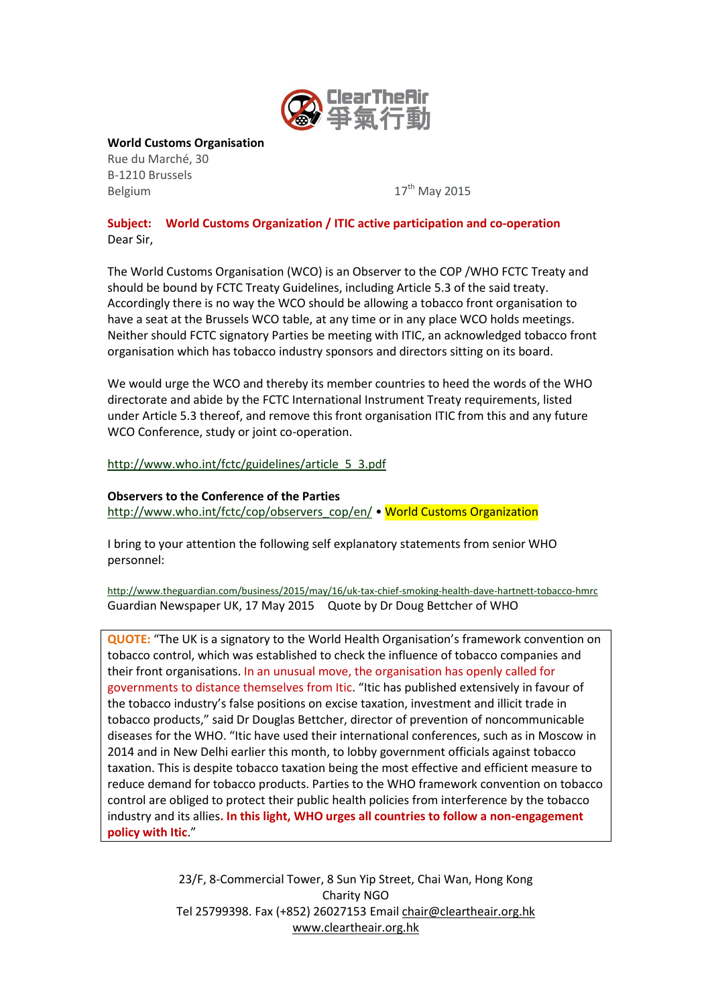

**World Customs Organisation**

Rue du Marché, 30 B-1210 Brussels Belgium 17<sup>th</sup> May 2015

# **Subject: World Customs Organization / ITIC active participation and co-operation** Dear Sir,

The World Customs Organisation (WCO) is an Observer to the COP /WHO FCTC Treaty and should be bound by FCTC Treaty Guidelines, including Article 5.3 of the said treaty. Accordingly there is no way the WCO should be allowing a tobacco front organisation to have a seat at the Brussels WCO table, at any time or in any place WCO holds meetings. Neither should FCTC signatory Parties be meeting with ITIC, an acknowledged tobacco front organisation which has tobacco industry sponsors and directors sitting on its board.

We would urge the WCO and thereby its member countries to heed the words of the WHO directorate and abide by the FCTC International Instrument Treaty requirements, listed under Article 5.3 thereof, and remove this front organisation ITIC from this and any future WCO Conference, study or joint co-operation.

[http://www.who.int/fctc/guidelines/article\\_5\\_3.pdf](http://www.who.int/fctc/guidelines/article_5_3.pdf)

### **Observers to the Conference of the Parties**

[http://www.who.int/fctc/cop/observers\\_cop/en/](http://www.who.int/fctc/cop/observers_cop/en/) • World Customs Organization

I bring to your attention the following self explanatory statements from senior WHO personnel:

<http://www.theguardian.com/business/2015/may/16/uk-tax-chief-smoking-health-dave-hartnett-tobacco-hmrc> Guardian Newspaper UK, 17 May 2015 Quote by Dr Doug Bettcher of WHO

**QUOTE:** "The UK is a signatory to the World Health Organisation's framework convention on tobacco control, which was established to check the influence of tobacco companies and their front organisations. In an unusual move, the organisation has openly called for governments to distance themselves from Itic. "Itic has published extensively in favour of the tobacco industry's false positions on excise taxation, investment and illicit trade in tobacco products," said Dr Douglas Bettcher, director of prevention of noncommunicable diseases for the WHO. "Itic have used their international conferences, such as in Moscow in 2014 and in New Delhi earlier this month, to lobby government officials against tobacco taxation. This is despite tobacco taxation being the most effective and efficient measure to reduce demand for tobacco products. Parties to the WHO framework convention on tobacco control are obliged to protect their public health policies from interference by the tobacco industry and its allies**. In this light, WHO urges all countries to follow a non-engagement policy with Itic**."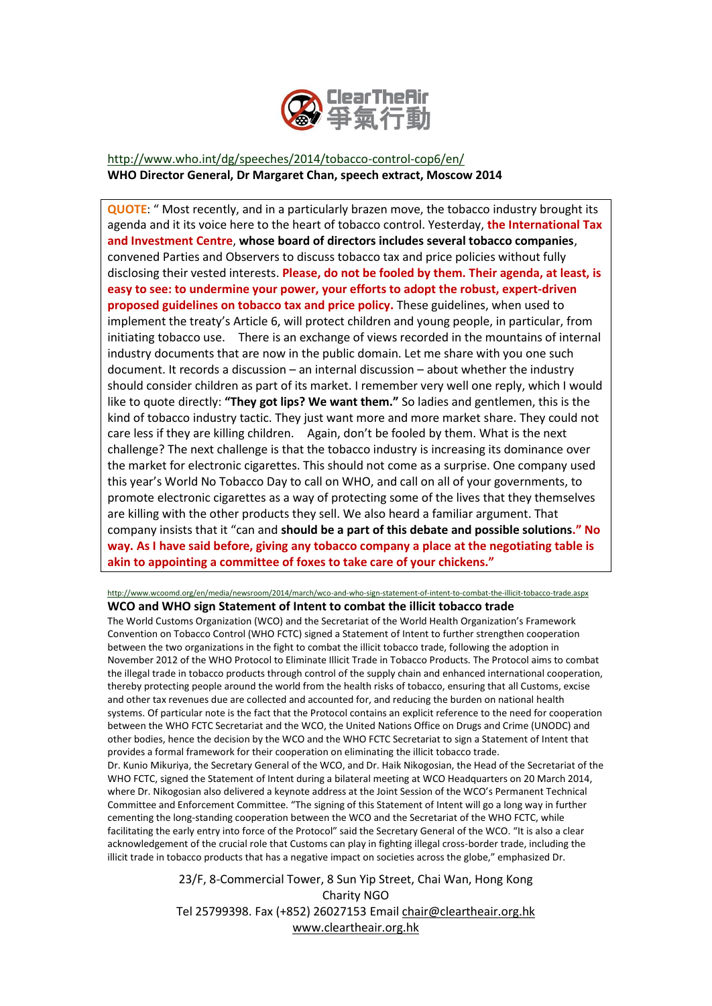

# <http://www.who.int/dg/speeches/2014/tobacco-control-cop6/en/> **WHO Director General, Dr Margaret Chan, speech extract, Moscow 2014**

**QUOTE**: " Most recently, and in a particularly brazen move, the tobacco industry brought its agenda and it its voice here to the heart of tobacco control. Yesterday, **the International Tax and Investment Centre**, **whose board of directors includes several tobacco companies**, convened Parties and Observers to discuss tobacco tax and price policies without fully disclosing their vested interests. **Please, do not be fooled by them. Their agenda, at least, is easy to see: to undermine your power, your efforts to adopt the robust, expert-driven proposed guidelines on tobacco tax and price policy.** These guidelines, when used to implement the treaty's Article 6, will protect children and young people, in particular, from initiating tobacco use. There is an exchange of views recorded in the mountains of internal industry documents that are now in the public domain. Let me share with you one such document. It records a discussion – an internal discussion – about whether the industry should consider children as part of its market. I remember very well one reply, which I would like to quote directly: **"They got lips? We want them."** So ladies and gentlemen, this is the kind of tobacco industry tactic. They just want more and more market share. They could not care less if they are killing children. Again, don't be fooled by them. What is the next challenge? The next challenge is that the tobacco industry is increasing its dominance over the market for electronic cigarettes. This should not come as a surprise. One company used this year's World No Tobacco Day to call on WHO, and call on all of your governments, to promote electronic cigarettes as a way of protecting some of the lives that they themselves are killing with the other products they sell. We also heard a familiar argument. That company insists that it "can and **should be a part of this debate and possible solutions." No way. As I have said before, giving any tobacco company a place at the negotiating table is akin to appointing a committee of foxes to take care of your chickens."**

<http://www.wcoomd.org/en/media/newsroom/2014/march/wco-and-who-sign-statement-of-intent-to-combat-the-illicit-tobacco-trade.aspx> **WCO and WHO sign Statement of Intent to combat the illicit tobacco trade**

The World Customs Organization (WCO) and the Secretariat of the World Health Organization's Framework Convention on Tobacco Control (WHO FCTC) signed a Statement of Intent to further strengthen cooperation between the two organizations in the fight to combat the illicit tobacco trade, following the adoption in November 2012 of the WHO Protocol to Eliminate Illicit Trade in Tobacco Products. The Protocol aims to combat the illegal trade in tobacco products through control of the supply chain and enhanced international cooperation, thereby protecting people around the world from the health risks of tobacco, ensuring that all Customs, excise and other tax revenues due are collected and accounted for, and reducing the burden on national health systems. Of particular note is the fact that the Protocol contains an explicit reference to the need for cooperation between the WHO FCTC Secretariat and the WCO, the United Nations Office on Drugs and Crime (UNODC) and other bodies, hence the decision by the WCO and the WHO FCTC Secretariat to sign a Statement of Intent that provides a formal framework for their cooperation on eliminating the illicit tobacco trade. Dr. Kunio Mikuriya, the Secretary General of the WCO, and Dr. Haik Nikogosian, the Head of the Secretariat of the WHO FCTC, signed the Statement of Intent during a bilateral meeting at WCO Headquarters on 20 March 2014, where Dr. Nikogosian also delivered a keynote address at the Joint Session of the WCO's Permanent Technical Committee and Enforcement Committee. "The signing of this Statement of Intent will go a long way in further cementing the long-standing cooperation between the WCO and the Secretariat of the WHO FCTC, while facilitating the early entry into force of the Protocol" said the Secretary General of the WCO. "It is also a clear acknowledgement of the crucial role that Customs can play in fighting illegal cross-border trade, including the illicit trade in tobacco products that has a negative impact on societies across the globe," emphasized Dr.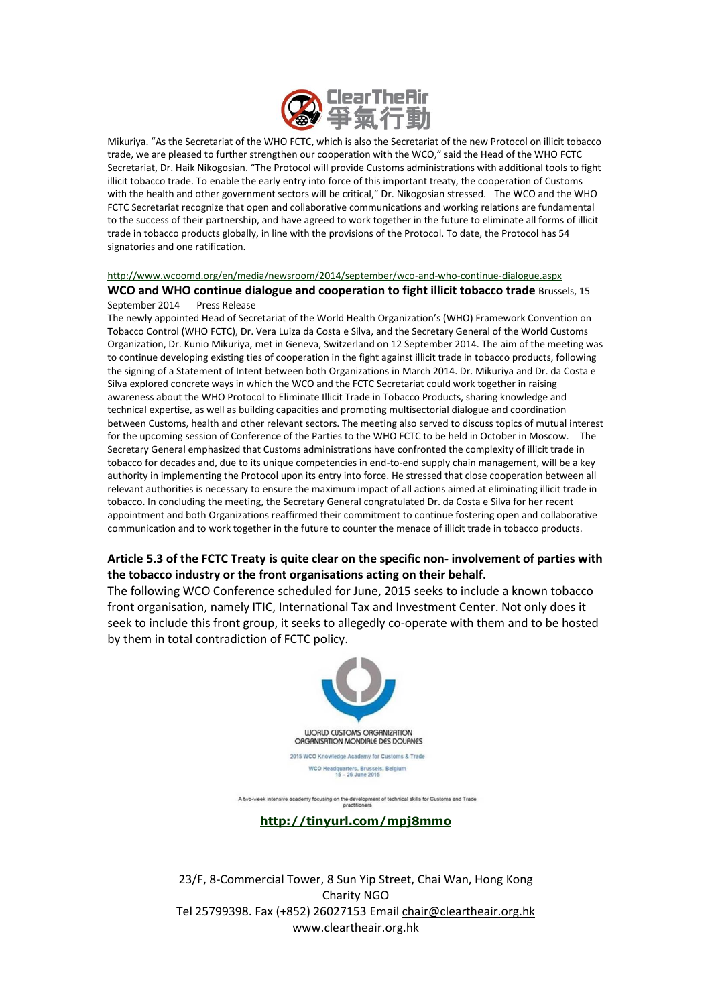

Mikuriya. "As the Secretariat of the WHO FCTC, which is also the Secretariat of the new Protocol on illicit tobacco trade, we are pleased to further strengthen our cooperation with the WCO," said the Head of the WHO FCTC Secretariat, Dr. Haik Nikogosian. "The Protocol will provide Customs administrations with additional tools to fight illicit tobacco trade. To enable the early entry into force of this important treaty, the cooperation of Customs with the health and other government sectors will be critical," Dr. Nikogosian stressed. The WCO and the WHO FCTC Secretariat recognize that open and collaborative communications and working relations are fundamental to the success of their partnership, and have agreed to work together in the future to eliminate all forms of illicit trade in tobacco products globally, in line with the provisions of the Protocol. To date, the Protocol has 54 signatories and one ratification.

#### <http://www.wcoomd.org/en/media/newsroom/2014/september/wco-and-who-continue-dialogue.aspx>

**WCO and WHO continue dialogue and cooperation to fight illicit tobacco trade** Brussels, 15 September 2014 Press Release

The newly appointed Head of Secretariat of the World Health Organization's (WHO) Framework Convention on Tobacco Control (WHO FCTC), Dr. Vera Luiza da Costa e Silva, and the Secretary General of the World Customs Organization, Dr. Kunio Mikuriya, met in Geneva, Switzerland on 12 September 2014. The aim of the meeting was to continue developing existing ties of cooperation in the fight against illicit trade in tobacco products, following the signing of a Statement of Intent between both Organizations in March 2014. Dr. Mikuriya and Dr. da Costa e Silva explored concrete ways in which the WCO and the FCTC Secretariat could work together in raising awareness about the WHO Protocol to Eliminate Illicit Trade in Tobacco Products, sharing knowledge and technical expertise, as well as building capacities and promoting multisectorial dialogue and coordination between Customs, health and other relevant sectors. The meeting also served to discuss topics of mutual interest for the upcoming session of Conference of the Parties to the WHO FCTC to be held in October in Moscow. The Secretary General emphasized that Customs administrations have confronted the complexity of illicit trade in tobacco for decades and, due to its unique competencies in end-to-end supply chain management, will be a key authority in implementing the Protocol upon its entry into force. He stressed that close cooperation between all relevant authorities is necessary to ensure the maximum impact of all actions aimed at eliminating illicit trade in tobacco. In concluding the meeting, the Secretary General congratulated Dr. da Costa e Silva for her recent appointment and both Organizations reaffirmed their commitment to continue fostering open and collaborative communication and to work together in the future to counter the menace of illicit trade in tobacco products.

## **Article 5.3 of the FCTC Treaty is quite clear on the specific non- involvement of parties with the tobacco industry or the front organisations acting on their behalf.**

The following WCO Conference scheduled for June, 2015 seeks to include a known tobacco front organisation, namely ITIC, International Tax and Investment Center. Not only does it seek to include this front group, it seeks to allegedly co-operate with them and to be hosted by them in total contradiction of FCTC policy.



A two-week intensive academy focusing on the development of technical skills for Customs and Trade<br>practitioners

### **<http://tinyurl.com/mpj8mmo>**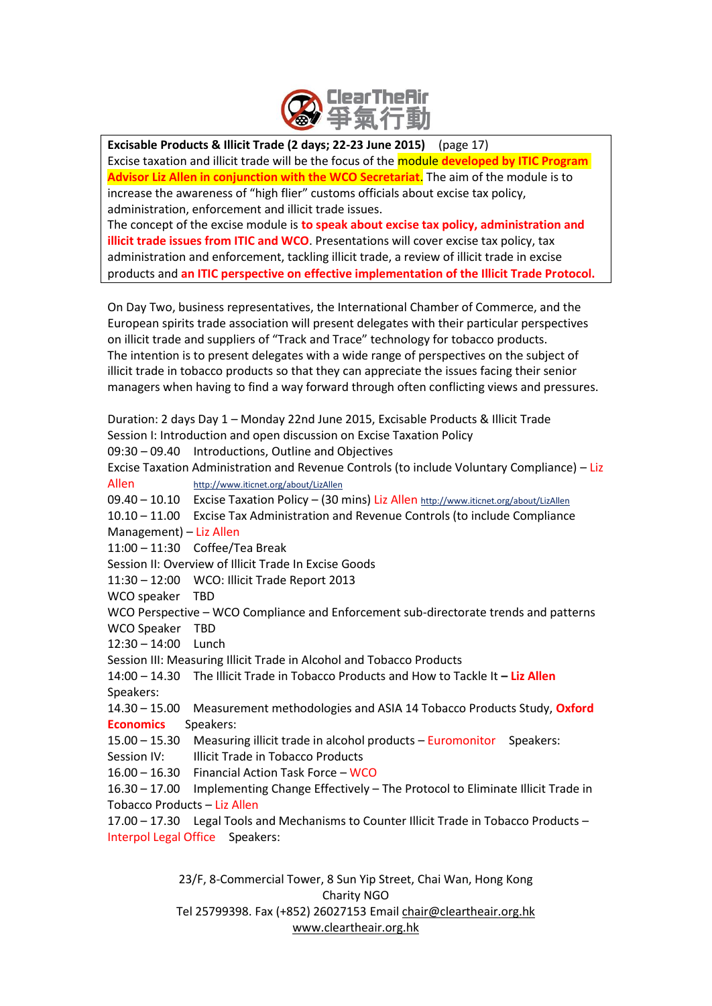

**Excisable Products & Illicit Trade (2 days; 22-23 June 2015)** (page 17) Excise taxation and illicit trade will be the focus of the module **developed by ITIC Program Advisor Liz Allen in conjunction with the WCO Secretariat**. The aim of the module is to increase the awareness of "high flier" customs officials about excise tax policy, administration, enforcement and illicit trade issues.

The concept of the excise module is **to speak about excise tax policy, administration and illicit trade issues from ITIC and WCO**. Presentations will cover excise tax policy, tax administration and enforcement, tackling illicit trade, a review of illicit trade in excise products and **an ITIC perspective on effective implementation of the Illicit Trade Protocol.** 

On Day Two, business representatives, the International Chamber of Commerce, and the European spirits trade association will present delegates with their particular perspectives on illicit trade and suppliers of "Track and Trace" technology for tobacco products. The intention is to present delegates with a wide range of perspectives on the subject of illicit trade in tobacco products so that they can appreciate the issues facing their senior managers when having to find a way forward through often conflicting views and pressures.

Duration: 2 days Day 1 – Monday 22nd June 2015, Excisable Products & Illicit Trade Session I: Introduction and open discussion on Excise Taxation Policy 09:30 – 09.40 Introductions, Outline and Objectives Excise Taxation Administration and Revenue Controls (to include Voluntary Compliance) – Liz Allen <http://www.iticnet.org/about/LizAllen> 09.40 - 10.10 Excise Taxation Policy - (30 mins) Liz Allen <http://www.iticnet.org/about/LizAllen> 10.10 – 11.00 Excise Tax Administration and Revenue Controls (to include Compliance Management) – Liz Allen 11:00 – 11:30 Coffee/Tea Break Session II: Overview of Illicit Trade In Excise Goods 11:30 – 12:00 WCO: Illicit Trade Report 2013 WCO speaker TBD WCO Perspective – WCO Compliance and Enforcement sub-directorate trends and patterns WCO Speaker TBD 12:30 – 14:00 Lunch Session III: Measuring Illicit Trade in Alcohol and Tobacco Products 14:00 – 14.30 The Illicit Trade in Tobacco Products and How to Tackle It **– Liz Allen** Speakers: 14.30 – 15.00 Measurement methodologies and ASIA 14 Tobacco Products Study, **Oxford Economics** Speakers: 15.00 – 15.30 Measuring illicit trade in alcohol products – Euromonitor Speakers: Session IV: Illicit Trade in Tobacco Products 16.00 – 16.30 Financial Action Task Force – WCO 16.30 – 17.00 Implementing Change Effectively – The Protocol to Eliminate Illicit Trade in Tobacco Products – Liz Allen

17.00 – 17.30 Legal Tools and Mechanisms to Counter Illicit Trade in Tobacco Products – Interpol Legal Office Speakers: